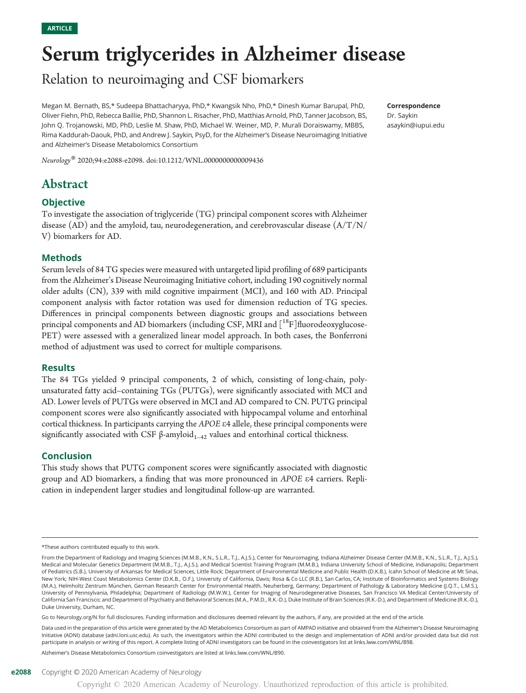# Serum triglycerides in Alzheimer disease

## Relation to neuroimaging and CSF biomarkers

Megan M. Bernath, BS,\* Sudeepa Bhattacharyya, PhD,\* Kwangsik Nho, PhD,\* Dinesh Kumar Barupal, PhD, Oliver Fiehn, PhD, Rebecca Baillie, PhD, Shannon L. Risacher, PhD, Matthias Arnold, PhD, Tanner Jacobson, BS, John Q. Trojanowski, MD, PhD, Leslie M. Shaw, PhD, Michael W. Weiner, MD, P. Murali Doraiswamy, MBBS, Rima Kaddurah-Daouk, PhD, and Andrew J. Saykin, PsyD, for the Alzheimer's Disease Neuroimaging Initiative and Alzheimer's Disease Metabolomics Consortium

Correspondence

Dr. Saykin [asaykin@iupui.edu](mailto:asaykin@iupui.edu)

Neurology® 2020;94:e2088-e2098. doi[:10.1212/WNL.0000000000009436](http://dx.doi.org/10.1212/WNL.0000000000009436)

### Abstract

#### **Objective**

To investigate the association of triglyceride (TG) principal component scores with Alzheimer disease (AD) and the amyloid, tau, neurodegeneration, and cerebrovascular disease (A/T/N/ V) biomarkers for AD.

#### **Methods**

Serum levels of 84 TG species were measured with untargeted lipid profiling of 689 participants from the Alzheimer's Disease Neuroimaging Initiative cohort, including 190 cognitively normal older adults (CN), 339 with mild cognitive impairment (MCI), and 160 with AD. Principal component analysis with factor rotation was used for dimension reduction of TG species. Differences in principal components between diagnostic groups and associations between principal components and AD biomarkers (including CSF, MRI and  $[^{18}F]$ fluorodeoxyglucose-PET) were assessed with a generalized linear model approach. In both cases, the Bonferroni method of adjustment was used to correct for multiple comparisons.

#### **Results**

The 84 TGs yielded 9 principal components, 2 of which, consisting of long-chain, polyunsaturated fatty acid–containing TGs (PUTGs), were significantly associated with MCI and AD. Lower levels of PUTGs were observed in MCI and AD compared to CN. PUTG principal component scores were also significantly associated with hippocampal volume and entorhinal cortical thickness. In participants carrying the APOE  $\varepsilon$ 4 allele, these principal components were significantly associated with CSF  $\beta$ -amyloid<sub>1–42</sub> values and entorhinal cortical thickness.

#### Conclusion

This study shows that PUTG component scores were significantly associated with diagnostic group and AD biomarkers, a finding that was more pronounced in APOE e4 carriers. Replication in independent larger studies and longitudinal follow-up are warranted.

Go to [Neurology.org/N](https://n.neurology.org/lookup/doi/10.1212/WNL.0000000000009436) for full disclosures. Funding information and disclosures deemed relevant by the authors, if any, are provided at the end of the article.

Data used in the preparation of this article were generated by the AD Metabolomics Consortium as part of AMPAD initiative and obtained from the Alzheimer's Disease Neuroimaging Initiative (ADNI) database [\(adni.loni.usc.edu\)](http://adni.loni.usc.edu). As such, the investigators within the ADNI contributed to the design and implementation of ADNI and/or provided data but did not participate in analysis or writing of this report. A complete listing of ADNI investigators can be found in the coinvestigators list at [links.lww.com/WNL/B98.](http://links.lww.com/WNL/B98)

Alzheimer's Disease Metabolomics Consortium coinvestigators are listed at [links.lww.com/WNL/B90](http://links.lww.com/WNL/B90).

<sup>\*</sup>These authors contributed equally to this work.

From the Department of Radiology and Imaging Sciences (M.M.B., K.N., S.L.R., T.J., A.J.S.), Center for Neuroimaging, Indiana Alzheimer Disease Center (M.M.B., K.N., S.L.R., T.J., A.J.S.), Medical and Molecular Genetics Department (M.M.B., T.J., A.J.S.), and Medical Scientist Training Program (M.M.B.), Indiana University School of Medicine, Indianapolis; Department of Pediatrics (S.B.), University of Arkansas for Medical Sciences, Little Rock; Department of Environmental Medicine and Public Health (D.K.B.), Icahn School of Medicine at Mt Sinai, New York; NIH-West Coast Metabolomics Center (D.K.B., O.F.), University of California, Davis; Rosa & Co LLC (R.B.), San Carlos, CA; Institute of Bioinformatics and Systems Biology (M.A.), Helmholtz Zentrum Munchen, German Research Center for Environmental Health, Neuherberg, Germany; Department of Pathology & Laboratory Medicine (J.Q.T., L.M.S.), ¨ University of Pennsylvania, Philadelphia; Department of Radiology (M.W.W.), Center for Imaging of Neurodegenerative Diseases, San Francisco VA Medical Center/University of California San Francisco; and Department of Psychiatry and Behavioral Sciences (M.A., P.M.D., R.K.-D.), Duke Institute of Brain Sciences (R.K.-D.), and Department of Medicine (R.K.-D.), Duke University, Durham, NC.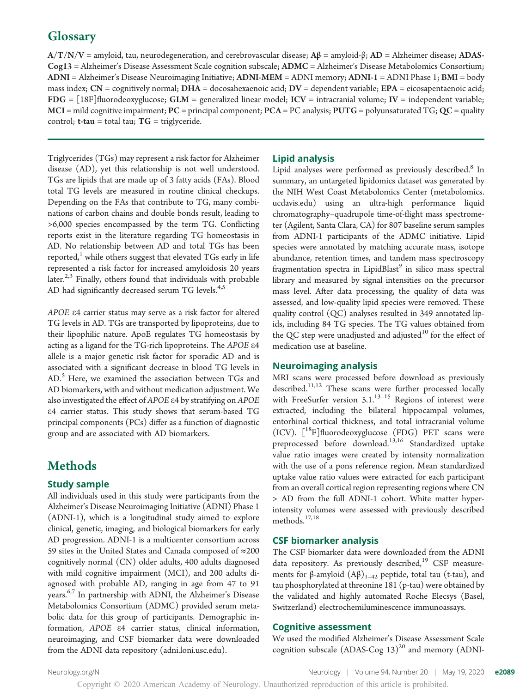### **Glossary**

 $A/T/N/V$  = amyloid, tau, neurodegeneration, and cerebrovascular disease;  $A\beta$  = amyloid- $\beta$ ; AD = Alzheimer disease; ADAS-Cog13 = Alzheimer's Disease Assessment Scale cognition subscale; ADMC = Alzheimer's Disease Metabolomics Consortium; ADNI = Alzheimer's Disease Neuroimaging Initiative; ADNI-MEM = ADNI memory; ADNI-1 = ADNI Phase 1; BMI = body mass index; CN = cognitively normal; DHA = docosahexaenoic acid; DV = dependent variable; EPA = eicosapentaenoic acid;  $F\text{DG} = [18F]$ fluorodeoxyglucose; GLM = generalized linear model; ICV = intracranial volume; IV = independent variable;  $MCI$  = mild cognitive impairment;  $PC$  = principal component;  $PCA$  =  $PC$  analysis;  $PUTG$  = polyunsaturated TG;  $QC$  = quality control; **t-tau** = total tau;  $TG = \text{triglyceride}$ .

Triglycerides (TGs) may represent a risk factor for Alzheimer disease (AD), yet this relationship is not well understood. TGs are lipids that are made up of 3 fatty acids (FAs). Blood total TG levels are measured in routine clinical checkups. Depending on the FAs that contribute to TG, many combinations of carbon chains and double bonds result, leading to >6,000 species encompassed by the term TG. Conflicting reports exist in the literature regarding TG homeostasis in AD. No relationship between AD and total TGs has been reported,<sup>1</sup> while others suggest that elevated TGs early in life represented a risk factor for increased amyloidosis 20 years later. $2,3$  Finally, others found that individuals with probable AD had significantly decreased serum TG levels.<sup>4,5</sup>

APOE e4 carrier status may serve as a risk factor for altered TG levels in AD. TGs are transported by lipoproteins, due to their lipophilic nature. ApoE regulates TG homeostasis by acting as a ligand for the TG-rich lipoproteins. The APOE e4 allele is a major genetic risk factor for sporadic AD and is associated with a significant decrease in blood TG levels in AD.<sup>5</sup> Here, we examined the association between TGs and AD biomarkers, with and without medication adjustment. We also investigated the effect of APOE e4 by stratifying on APOE e4 carrier status. This study shows that serum-based TG principal components (PCs) differ as a function of diagnostic group and are associated with AD biomarkers.

### Methods

### Study sample

All individuals used in this study were participants from the Alzheimer's Disease Neuroimaging Initiative (ADNI) Phase 1 (ADNI-1), which is a longitudinal study aimed to explore clinical, genetic, imaging, and biological biomarkers for early AD progression. ADNI-1 is a multicenter consortium across 59 sites in the United States and Canada composed of ≈200 cognitively normal (CN) older adults, 400 adults diagnosed with mild cognitive impairment (MCI), and 200 adults diagnosed with probable AD, ranging in age from 47 to 91 years.<sup>6,7</sup> In partnership with ADNI, the Alzheimer's Disease Metabolomics Consortium (ADMC) provided serum metabolic data for this group of participants. Demographic information, APOE e4 carrier status, clinical information, neuroimaging, and CSF biomarker data were downloaded from the ADNI data repository ([adni.loni.usc.edu\)](http://adni.loni.usc.edu).

#### Lipid analysis

Lipid analyses were performed as previously described.<sup>8</sup> In summary, an untargeted lipidomics dataset was generated by the NIH West Coast Metabolomics Center ([metabolomics.](http://metabolomics.ucdavis.edu) [ucdavis.edu](http://metabolomics.ucdavis.edu)) using an ultra-high performance liquid chromatography–quadrupole time-of-flight mass spectrometer (Agilent, Santa Clara, CA) for 807 baseline serum samples from ADNI-1 participants of the ADMC initiative. Lipid species were annotated by matching accurate mass, isotope abundance, retention times, and tandem mass spectroscopy fragmentation spectra in LipidBlast<sup>9</sup> in silico mass spectral library and measured by signal intensities on the precursor mass level. After data processing, the quality of data was assessed, and low-quality lipid species were removed. These quality control (QC) analyses resulted in 349 annotated lipids, including 84 TG species. The TG values obtained from the QC step were unadjusted and adjusted $10^{\circ}$  for the effect of medication use at baseline.

#### Neuroimaging analysis

MRI scans were processed before download as previously described.<sup>11,12</sup> These scans were further processed locally with FreeSurfer version  $5.1$ .<sup>13–15</sup> Regions of interest were extracted, including the bilateral hippocampal volumes, entorhinal cortical thickness, and total intracranial volume (ICV). [18F]fluorodeoxyglucose (FDG) PET scans were preprocessed before download.13,16 Standardized uptake value ratio images were created by intensity normalization with the use of a pons reference region. Mean standardized uptake value ratio values were extracted for each participant from an overall cortical region representing regions where CN > AD from the full ADNI-1 cohort. White matter hyperintensity volumes were assessed with previously described methods.17,18

#### CSF biomarker analysis

The CSF biomarker data were downloaded from the ADNI data repository. As previously described, $19$  CSF measurements for β-amyloid  $(A\beta)_{1-42}$  peptide, total tau (t-tau), and tau phosphorylated at threonine 181 (p-tau) were obtained by the validated and highly automated Roche Elecsys (Basel, Switzerland) electrochemiluminescence immunoassays.

#### Cognitive assessment

We used the modified Alzheimer's Disease Assessment Scale cognition subscale  $(ADAS-Cog 13)^{20}$  and memory  $(ADNI-$ 

[Neurology.org/N](http://neurology.org/n) Neurology | Volume 94, Number 20 | May 19, 2020 **e2089** | Neurology | Volume 94, Number 20 | May 19, 2020 **e2089**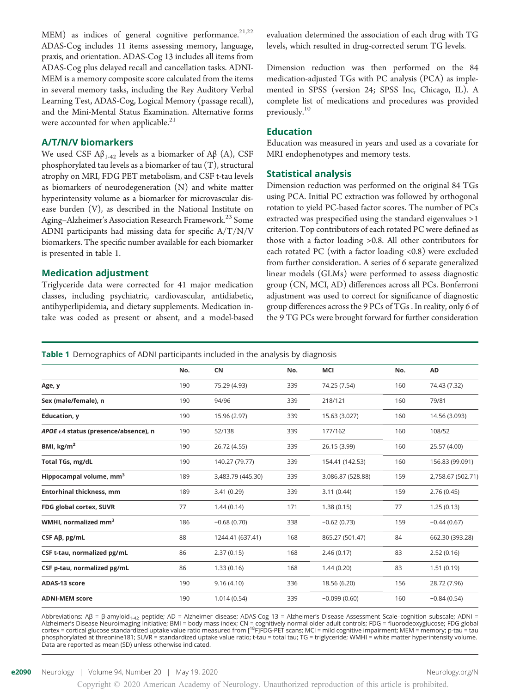$MEM)$  as indices of general cognitive performance.<sup>21,22</sup> ADAS-Cog includes 11 items assessing memory, language, praxis, and orientation. ADAS-Cog 13 includes all items from ADAS-Cog plus delayed recall and cancellation tasks. ADNI-MEM is a memory composite score calculated from the items in several memory tasks, including the Rey Auditory Verbal Learning Test, ADAS-Cog, Logical Memory (passage recall), and the Mini-Mental Status Examination. Alternative forms were accounted for when applicable. $21$ 

#### A/T/N/V biomarkers

We used CSF  $A\beta_{1.42}$  levels as a biomarker of  $A\beta$  (A), CSF phosphorylated tau levels as a biomarker of tau (T), structural atrophy on MRI, FDG PET metabolism, and CSF t-tau levels as biomarkers of neurodegeneration (N) and white matter hyperintensity volume as a biomarker for microvascular disease burden (V), as described in the National Institute on Aging–Alzheimer's Association Research Framework.<sup>23</sup> Some ADNI participants had missing data for specific A/T/N/V biomarkers. The specific number available for each biomarker is presented in table 1.

#### Medication adjustment

Triglyceride data were corrected for 41 major medication classes, including psychiatric, cardiovascular, antidiabetic, antihyperlipidemia, and dietary supplements. Medication intake was coded as present or absent, and a model-based evaluation determined the association of each drug with TG levels, which resulted in drug-corrected serum TG levels.

Dimension reduction was then performed on the 84 medication-adjusted TGs with PC analysis (PCA) as implemented in SPSS (version 24; SPSS Inc, Chicago, IL). A complete list of medications and procedures was provided previously.<sup>10</sup>

#### Education

Education was measured in years and used as a covariate for MRI endophenotypes and memory tests.

#### Statistical analysis

Dimension reduction was performed on the original 84 TGs using PCA. Initial PC extraction was followed by orthogonal rotation to yield PC-based factor scores. The number of PCs extracted was prespecified using the standard eigenvalues >1 criterion. Top contributors of each rotated PC were defined as those with a factor loading >0.8. All other contributors for each rotated PC (with a factor loading <0.8) were excluded from further consideration. A series of 6 separate generalized linear models (GLMs) were performed to assess diagnostic group (CN, MCI, AD) differences across all PCs. Bonferroni adjustment was used to correct for significance of diagnostic group differences across the 9 PCs of TGs . In reality, only 6 of the 9 TG PCs were brought forward for further consideration

| <b>Table 1</b> Demographics of ADNI participants included in the analysis by diagnosis |     |                   |     |                   |     |                   |
|----------------------------------------------------------------------------------------|-----|-------------------|-----|-------------------|-----|-------------------|
|                                                                                        | No. | CN                | No. | MCI               | No. | AD                |
| Age, y                                                                                 | 190 | 75.29 (4.93)      | 339 | 74.25 (7.54)      | 160 | 74.43 (7.32)      |
| Sex (male/female), n                                                                   | 190 | 94/96             | 339 | 218/121           | 160 | 79/81             |
| Education, y                                                                           | 190 | 15.96 (2.97)      | 339 | 15.63 (3.027)     | 160 | 14.56 (3.093)     |
| APOE ε4 status (presence/absence), n                                                   | 190 | 52/138            | 339 | 177/162           | 160 | 108/52            |
| BMI, kg/m <sup>2</sup>                                                                 | 190 | 26.72 (4.55)      | 339 | 26.15 (3.99)      | 160 | 25.57 (4.00)      |
| Total TGs, mg/dL                                                                       | 190 | 140.27 (79.77)    | 339 | 154.41 (142.53)   | 160 | 156.83 (99.091)   |
| Hippocampal volume, mm <sup>3</sup>                                                    | 189 | 3,483.79 (445.30) | 339 | 3,086.87 (528.88) | 159 | 2,758.67 (502.71) |
| <b>Entorhinal thickness, mm</b>                                                        | 189 | 3.41(0.29)        | 339 | 3.11(0.44)        | 159 | 2.76(0.45)        |
| FDG global cortex, SUVR                                                                | 77  | 1.44(0.14)        | 171 | 1.38(0.15)        | 77  | 1.25(0.13)        |
| WMHI, normalized mm <sup>3</sup>                                                       | 186 | $-0.68(0.70)$     | 338 | $-0.62(0.73)$     | 159 | $-0.44(0.67)$     |
| $CSF AB$ , pg/mL                                                                       | 88  | 1244.41 (637.41)  | 168 | 865.27 (501.47)   | 84  | 662.30 (393.28)   |
| CSF t-tau, normalized pg/mL                                                            | 86  | 2.37(0.15)        | 168 | 2.46(0.17)        | 83  | 2.52(0.16)        |
| CSF p-tau, normalized pg/mL                                                            | 86  | 1.33(0.16)        | 168 | 1.44(0.20)        | 83  | 1.51(0.19)        |
| ADAS-13 score                                                                          | 190 | 9.16(4.10)        | 336 | 18.56 (6.20)      | 156 | 28.72 (7.96)      |
| <b>ADNI-MEM score</b>                                                                  | 190 | 1.014(0.54)       | 339 | $-0.099(0.60)$    | 160 | $-0.84(0.54)$     |
|                                                                                        |     |                   |     |                   |     |                   |

Abbreviations: Aβ = β-amyloid<sub>1-42</sub> peptide; AD = Alzheimer disease; ADAS-Cog 13 = Alzheimer's Disease Assessment Scale–cognition subscale; ADNI = Alzheimer's Disease Neuroimaging Initiative; BMI = body mass index; CN = cognitively normal older adult controls; FDG = fluorodeoxyglucose; FDG global<br>cortex = cortical glucose standardized uptake value ratio measured from phosphorylated at threonine181; SUVR = standardized uptake value ratio; t-tau = total tau; TG = triglyceride; WMHI = white matter hyperintensity volume. Data are reported as mean (SD) unless otherwise indicated.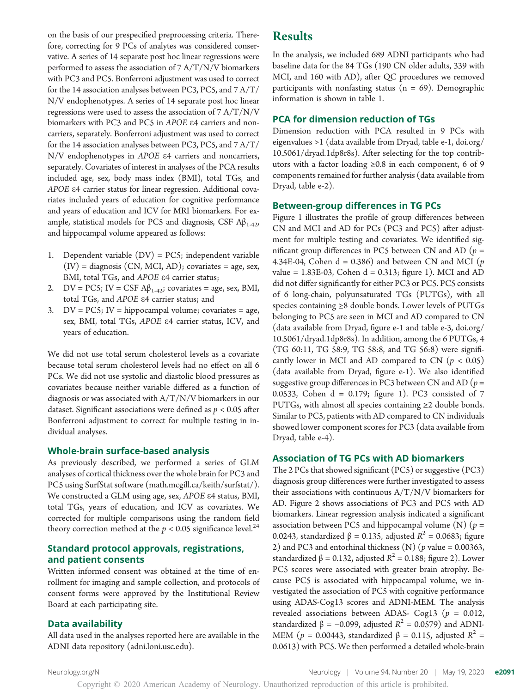on the basis of our prespecified preprocessing criteria. Therefore, correcting for 9 PCs of analytes was considered conservative. A series of 14 separate post hoc linear regressions were performed to assess the association of 7 A/T/N/V biomarkers with PC3 and PC5. Bonferroni adjustment was used to correct for the 14 association analyses between PC3, PC5, and 7 A/T/ N/V endophenotypes. A series of 14 separate post hoc linear regressions were used to assess the association of 7 A/T/N/V biomarkers with PC3 and PC5 in APOE e4 carriers and noncarriers, separately. Bonferroni adjustment was used to correct for the 14 association analyses between PC3, PC5, and 7 A/T/ N/V endophenotypes in APOE e4 carriers and noncarriers, separately. Covariates of interest in analyses of the PCA results included age, sex, body mass index (BMI), total TGs, and APOE e4 carrier status for linear regression. Additional covariates included years of education for cognitive performance and years of education and ICV for MRI biomarkers. For example, statistical models for PC5 and diagnosis, CSF  $A\beta_{1-42}$ , and hippocampal volume appeared as follows:

- 1. Dependent variable (DV) = PC5; independent variable  $(IV)$  = diagnosis  $(CN, MCI, AD)$ ; covariates = age, sex, BMI, total TGs, and APOE  $\varepsilon$ 4 carrier status;
- 2. DV = PC5; IV = CSF  $A\beta_{1-42}$ ; covariates = age, sex, BMI, total TGs, and APOE e4 carrier status; and
- 3. DV = PC5; IV = hippocampal volume; covariates = age, sex, BMI, total TGs, APOE e4 carrier status, ICV, and years of education.

We did not use total serum cholesterol levels as a covariate because total serum cholesterol levels had no effect on all 6 PCs. We did not use systolic and diastolic blood pressures as covariates because neither variable differed as a function of diagnosis or was associated with A/T/N/V biomarkers in our dataset. Significant associations were defined as  $p < 0.05$  after Bonferroni adjustment to correct for multiple testing in individual analyses.

#### Whole-brain surface-based analysis

As previously described, we performed a series of GLM analyses of cortical thickness over the whole brain for PC3 and PC5 using SurfStat software [\(math.mcgill.ca/keith/surfstat/\)](http://www.math.mcgill.ca/keith/surfstat/)). We constructed a GLM using age, sex, APOE e4 status, BMI, total TGs, years of education, and ICV as covariates. We corrected for multiple comparisons using the random field theory correction method at the  $p < 0.05$  significance level.<sup>24</sup>

#### Standard protocol approvals, registrations, and patient consents

Written informed consent was obtained at the time of enrollment for imaging and sample collection, and protocols of consent forms were approved by the Institutional Review Board at each participating site.

#### Data availability

All data used in the analyses reported here are available in the ADNI data repository [\(adni.loni.usc.edu\)](http://adni.loni.usc.edu).

### Results

In the analysis, we included 689 ADNI participants who had baseline data for the 84 TGs (190 CN older adults, 339 with MCI, and 160 with AD), after QC procedures we removed participants with nonfasting status ( $n = 69$ ). Demographic information is shown in table 1.

#### PCA for dimension reduction of TGs

Dimension reduction with PCA resulted in 9 PCs with eigenvalues >1 (data available from Dryad, table e-1, [doi.org/](https://doi.org/10.5061/dryad.1dp8r8s) [10.5061/dryad.1dp8r8s](https://doi.org/10.5061/dryad.1dp8r8s)). After selecting for the top contributors with a factor loading ≥0.8 in each component, 6 of 9 components remained for further analysis (data available from Dryad, table e-2).

#### Between-group differences in TG PCs

Figure 1 illustrates the profile of group differences between CN and MCI and AD for PCs (PC3 and PC5) after adjustment for multiple testing and covariates. We identified significant group differences in PC5 between CN and AD ( $p =$ 4.34E-04, Cohen  $d = 0.386$ ) and between CN and MCI (p value =  $1.83E-03$ , Cohen d =  $0.313$ ; figure 1). MCI and AD did not differ significantly for either PC3 or PC5. PC5 consists of 6 long-chain, polyunsaturated TGs (PUTGs), with all species containing ≥8 double bonds. Lower levels of PUTGs belonging to PC5 are seen in MCI and AD compared to CN (data available from Dryad, figure e-1 and table e-3, [doi.org/](https://doi.org/10.5061/dryad.1dp8r8s) [10.5061/dryad.1dp8r8s](https://doi.org/10.5061/dryad.1dp8r8s)). In addition, among the 6 PUTGs, 4 (TG 60:11, TG 58:9, TG 58:8, and TG 56:8) were significantly lower in MCI and AD compared to CN  $(p < 0.05)$ (data available from Dryad, figure e-1). We also identified suggestive group differences in PC3 between CN and AD ( $p =$ 0.0533, Cohen d = 0.179; figure 1). PC3 consisted of 7 PUTGs, with almost all species containing ≥2 double bonds. Similar to PC5, patients with AD compared to CN individuals showed lower component scores for PC3 (data available from Dryad, table e-4).

#### Association of TG PCs with AD biomarkers

The 2 PCs that showed significant (PC5) or suggestive (PC3) diagnosis group differences were further investigated to assess their associations with continuous A/T/N/V biomarkers for AD. Figure 2 shows associations of PC3 and PC5 with AD biomarkers. Linear regression analysis indicated a significant association between PC5 and hippocampal volume (N) ( $p =$ 0.0243, standardized  $\beta$  = 0.135, adjusted  $R^2$  = 0.0683; figure 2) and PC3 and entorhinal thickness (N) ( $p$  value = 0.00363, standardized  $β = 0.132$ , adjusted  $R^2 = 0.188$ ; figure 2). Lower PC5 scores were associated with greater brain atrophy. Because PC5 is associated with hippocampal volume, we investigated the association of PC5 with cognitive performance using ADAS-Cog13 scores and ADNI-MEM. The analysis revealed associations between ADAS- Cog13 ( $p = 0.012$ , standardized β = -0.099, adjusted  $R^2$  = 0.0579) and ADNI-MEM ( $p = 0.00443$ , standardized  $\beta = 0.115$ , adjusted  $R^2 =$ 0.0613) with PC5. We then performed a detailed whole-brain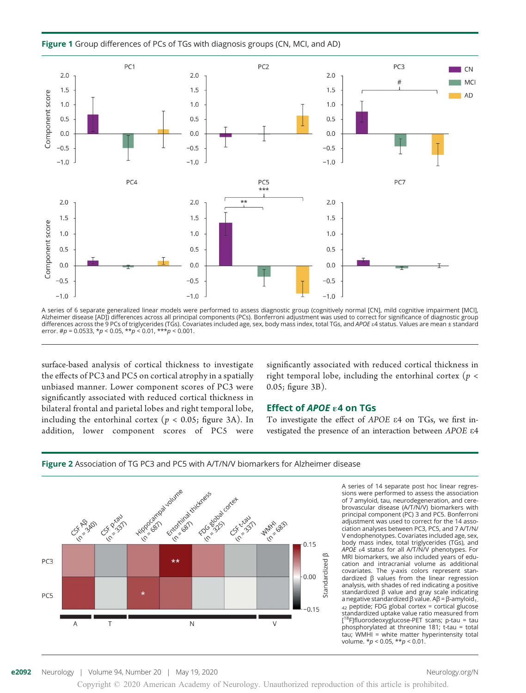Figure 1 Group differences of PCs of TGs with diagnosis groups (CN, MCI, and AD)



A series of 6 separate generalized linear models were performed to assess diagnostic group (cognitively normal [CN], mild cognitive impairment [MCI],<br>Alzheimer disease [AD]) differences across all principal components (PCs differences across the 9 PCs of triglycerides (TGs). Covariates included age, sex, body mass index, total TGs, and APOE ε4 status. Values are mean ± standard<br>error. #p = 0.0533, \*p < 0.05, \*\*p < 0.01, \*\*\*p < 0.001.

surface-based analysis of cortical thickness to investigate the effects of PC3 and PC5 on cortical atrophy in a spatially unbiased manner. Lower component scores of PC3 were significantly associated with reduced cortical thickness in bilateral frontal and parietal lobes and right temporal lobe, including the entorhinal cortex ( $p < 0.05$ ; figure 3A). In addition, lower component scores of PC5 were significantly associated with reduced cortical thickness in right temporal lobe, including the entorhinal cortex ( $p <$ 0.05; figure 3B).

#### Effect of APOE  $\epsilon$ 4 on TGs

To investigate the effect of APOE  $\varepsilon$ 4 on TGs, we first investigated the presence of an interaction between APOE e4



A series of 14 separate post hoc linear regressions were performed to assess the association of 7 amyloid, tau, neurodegeneration, and cerebrovascular disease (A/T/N/V) biomarkers with principal component (PC) 3 and PC5. Bonferroni adjustment was used to correct for the 14 association analyses between PC3, PC5, and 7 A/T/N/ V endophenotypes. Covariates included age, sex, body mass index, total triglycerides (TGs), and APOE  $\varepsilon$ 4 status for all A/T/N/V phenotypes. For MRI biomarkers, we also included years of education and intracranial volume as additional covariates. The y-axis colors represent standardized β values from the linear regression analysis, with shades of red indicating a positive standardized β value and gray scale indicating a negative standardized β value.  $AB = \beta$ -amyloid<sub>1-</sub>  $_{42}$  peptide; FDG global cortex = cortical glucose standardized uptake value ratio measured from [<sup>18</sup>F]fluorodeoxyglucose-PET scans; p-tau = tau phosphorylated at threonine 181; t-tau = total tau; WMHI = white matter hyperintensity total

volume.  $* p < 0.05$ ,  $** p < 0.01$ .

#### Figure 2 Association of TG PC3 and PC5 with A/T/N/V biomarkers for Alzheimer disease

e2092 Neurology | Volume 94, Number 20 | May 19, 2020 [Neurology.org/N](http://neurology.org/n)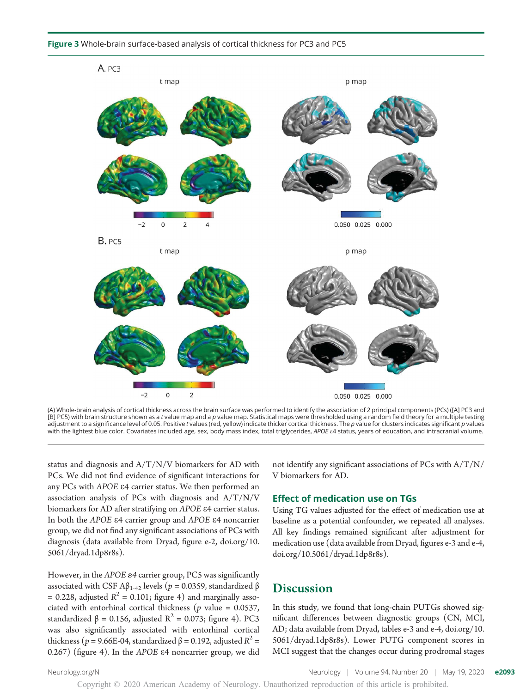#### Figure 3 Whole-brain surface-based analysis of cortical thickness for PC3 and PC5



(A) Whole-brain analysis of cortical thickness across the brain surface was performed to identify the association of 2 principal components (PCs) ([A] PC3 and [B] PC5) with brain structure shown as a t value map and a p value map. Statistical maps were thresholded using a random field theory for a multiple testing adjustment to a significance level of 0.05. Positive t values (red, yellow) indicate thicker cortical thickness. The p value for clusters indicates significant p values with the lightest blue color. Covariates included age, sex, body mass index, total triglycerides, APOE &4 status, years of education, and intracranial volume.

status and diagnosis and A/T/N/V biomarkers for AD with PCs. We did not find evidence of significant interactions for any PCs with APOE e4 carrier status. We then performed an association analysis of PCs with diagnosis and A/T/N/V biomarkers for AD after stratifying on APOE e4 carrier status. In both the APOE e4 carrier group and APOE e4 noncarrier group, we did not find any significant associations of PCs with diagnosis (data available from Dryad, figure e-2, [doi.org/10.](https://doi.org/10.5061/dryad.1dp8r8s) [5061/dryad.1dp8r8s](https://doi.org/10.5061/dryad.1dp8r8s)).

However, in the APOE  $\varepsilon$ 4 carrier group, PC5 was significantly associated with CSF Aβ<sub>1-42</sub> levels ( $p = 0.0359$ , standardized β = 0.228, adjusted  $R^2$  = 0.101; figure 4) and marginally associated with entorhinal cortical thickness ( $p$  value = 0.0537, standardized β = 0.156, adjusted  $R^2$  = 0.073; figure 4). PC3 was also significantly associated with entorhinal cortical thickness ( $p = 9.66E-04$ , standardized β = 0.192, adjusted  $R^2$  = 0.267) (figure 4). In the APOE e4 noncarrier group, we did not identify any significant associations of PCs with A/T/N/ V biomarkers for AD.

#### Effect of medication use on TGs

Using TG values adjusted for the effect of medication use at baseline as a potential confounder, we repeated all analyses. All key findings remained significant after adjustment for medication use (data available from Dryad, figures e-3 and e-4, [doi.org/10.5061/dryad.1dp8r8s\)](https://doi.org/10.5061/dryad.1dp8r8s).

### Discussion

In this study, we found that long-chain PUTGs showed significant differences between diagnostic groups (CN, MCI, AD; data available from Dryad, tables e-3 and e-4, [doi.org/10.](https://doi.org/10.5061/dryad.1dp8r8s) [5061/dryad.1dp8r8s](https://doi.org/10.5061/dryad.1dp8r8s)). Lower PUTG component scores in MCI suggest that the changes occur during prodromal stages

[Neurology.org/N](http://neurology.org/n) Neurology | Volume 94, Number 20 | May 19, 2020 **e2093** | Neurology | Volume 94, Number 20 | May 19, 2020 **e2093**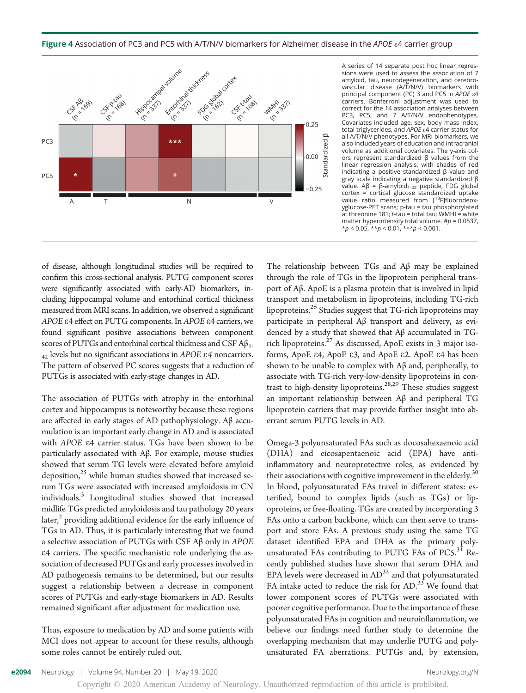Figure 4 Association of PC3 and PC5 with A/T/N/V biomarkers for Alzheimer disease in the APOE  $\varepsilon$ 4 carrier group



A series of 14 separate post hoc linear regressions were used to assess the association of 7 amyloid, tau, neurodegeneration, and cerebrovascular disease (A/T/N/V) biomarkers with principal component (PC) 3 and PC5 in APOE  $\varepsilon$ 4 carriers. Bonferroni adjustment was used to correct for the 14 association analyses between PC3, PC5, and 7 A/T/N/V endophenotypes. Covariates included age, sex, body mass index, total triglycerides, and APOE e4 carrier status for all A/T/N/V phenotypes. For MRI biomarkers, we also included years of education and intracranial volume as additional covariates. The y-axis colors represent standardized β values from the linear regression analysis, with shades of red indicating a positive standardized β value and gray scale indicating a negative standardized β value.  $\mathsf{A}\mathsf{B} = \mathsf{B}$ -amyloid<sub>1-42</sub> peptide; FDG global cortex = cortical glucose standardized uptake value ratio measured from [<sup>18</sup>F]fluorodeoxyglucose-PET scans; p-tau = tau phosphorylated at threonine 181; t-tau = total tau; WMHI = white matter hyperintensity total volume.  $\#p = 0.0537$ ,  $\#p < 0.05$ ,  $\#p < 0.01$ ,  $\#p < 0.001$ .

of disease, although longitudinal studies will be required to confirm this cross-sectional analysis. PUTG component scores were significantly associated with early-AD biomarkers, including hippocampal volume and entorhinal cortical thickness measured from MRI scans. In addition, we observed a significant APOE e4 effect on PUTG components. In APOE e4 carriers, we found significant positive associations between component scores of PUTGs and entorhinal cortical thickness and CSF  $A\beta_{1}$ .  $_{42}$  levels but no significant associations in APOE  $\varepsilon$ 4 noncarriers. The pattern of observed PC scores suggests that a reduction of PUTGs is associated with early-stage changes in AD.

The association of PUTGs with atrophy in the entorhinal cortex and hippocampus is noteworthy because these regions are affected in early stages of AD pathophysiology. Aβ accumulation is an important early change in AD and is associated with APOE e4 carrier status. TGs have been shown to be particularly associated with Aβ. For example, mouse studies showed that serum TG levels were elevated before amyloid deposition,<sup>25</sup> while human studies showed that increased serum TGs were associated with increased amyloidosis in CN individuals.<sup>3</sup> Longitudinal studies showed that increased midlife TGs predicted amyloidosis and tau pathology 20 years later, $^2$  providing additional evidence for the early influence of TGs in AD. Thus, it is particularly interesting that we found a selective association of PUTGs with CSF Aβ only in APOE e4 carriers. The specific mechanistic role underlying the association of decreased PUTGs and early processes involved in AD pathogenesis remains to be determined, but our results suggest a relationship between a decrease in component scores of PUTGs and early-stage biomarkers in AD. Results remained significant after adjustment for medication use.

Thus, exposure to medication by AD and some patients with MCI does not appear to account for these results, although some roles cannot be entirely ruled out.

The relationship between TGs and Aβ may be explained through the role of TGs in the lipoprotein peripheral transport of Aβ. ApoE is a plasma protein that is involved in lipid transport and metabolism in lipoproteins, including TG-rich lipoproteins.<sup>26</sup> Studies suggest that TG-rich lipoproteins may participate in peripheral Aβ transport and delivery, as evidenced by a study that showed that Aβ accumulated in TGrich lipoproteins. $^{27}$  As discussed, ApoE exists in 3 major isoforms, ApoE e4, ApoE e3, and ApoE e2. ApoE e4 has been shown to be unable to complex with Aβ and, peripherally, to associate with TG-rich very-low-density lipoproteins in contrast to high-density lipoproteins.<sup>28,29</sup> These studies suggest an important relationship between Aβ and peripheral TG lipoprotein carriers that may provide further insight into aberrant serum PUTG levels in AD.

Omega-3 polyunsaturated FAs such as docosahexaenoic acid (DHA) and eicosapentaenoic acid (EPA) have antiinflammatory and neuroprotective roles, as evidenced by their associations with cognitive improvement in the elderly.<sup>30</sup> In blood, polyunsaturated FAs travel in different states: esterified, bound to complex lipids (such as TGs) or lipoproteins, or free-floating. TGs are created by incorporating 3 FAs onto a carbon backbone, which can then serve to transport and store FAs. A previous study using the same TG dataset identified EPA and DHA as the primary polyunsaturated FAs contributing to PUTG FAs of PC5.<sup>31</sup> Recently published studies have shown that serum DHA and EPA levels were decreased in  $AD^{32}$  and that polyunsaturated FA intake acted to reduce the risk for AD.<sup>33</sup> We found that lower component scores of PUTGs were associated with poorer cognitive performance. Due to the importance of these polyunsaturated FAs in cognition and neuroinflammation, we believe our findings need further study to determine the overlapping mechanism that may underlie PUTG and polyunsaturated FA aberrations. PUTGs and, by extension,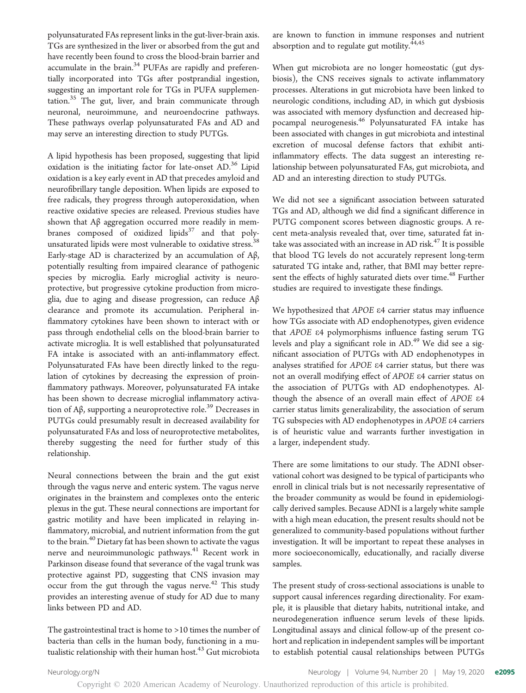polyunsaturated FAs represent links in the gut-liver-brain axis. TGs are synthesized in the liver or absorbed from the gut and have recently been found to cross the blood-brain barrier and accumulate in the brain.<sup>34</sup> PUFAs are rapidly and preferentially incorporated into TGs after postprandial ingestion, suggesting an important role for TGs in PUFA supplementation.<sup>35</sup> The gut, liver, and brain communicate through neuronal, neuroimmune, and neuroendocrine pathways. These pathways overlap polyunsaturated FAs and AD and may serve an interesting direction to study PUTGs.

A lipid hypothesis has been proposed, suggesting that lipid oxidation is the initiating factor for late-onset AD.<sup>36</sup> Lipid oxidation is a key early event in AD that precedes amyloid and neurofibrillary tangle deposition. When lipids are exposed to free radicals, they progress through autoperoxidation, when reactive oxidative species are released. Previous studies have shown that Aβ aggregation occurred more readily in membranes composed of oxidized lipids $37$  and that polyunsaturated lipids were most vulnerable to oxidative stress.<sup>38</sup> Early-stage AD is characterized by an accumulation of Aβ, potentially resulting from impaired clearance of pathogenic species by microglia. Early microglial activity is neuroprotective, but progressive cytokine production from microglia, due to aging and disease progression, can reduce Aβ clearance and promote its accumulation. Peripheral inflammatory cytokines have been shown to interact with or pass through endothelial cells on the blood-brain barrier to activate microglia. It is well established that polyunsaturated FA intake is associated with an anti-inflammatory effect. Polyunsaturated FAs have been directly linked to the regulation of cytokines by decreasing the expression of proinflammatory pathways. Moreover, polyunsaturated FA intake has been shown to decrease microglial inflammatory activation of A $\beta$ , supporting a neuroprotective role.<sup>39</sup> Decreases in PUTGs could presumably result in decreased availability for polyunsaturated FAs and loss of neuroprotective metabolites, thereby suggesting the need for further study of this relationship.

Neural connections between the brain and the gut exist through the vagus nerve and enteric system. The vagus nerve originates in the brainstem and complexes onto the enteric plexus in the gut. These neural connections are important for gastric motility and have been implicated in relaying inflammatory, microbial, and nutrient information from the gut to the brain.<sup>40</sup> Dietary fat has been shown to activate the vagus nerve and neuroimmunologic pathways.<sup>41</sup> Recent work in Parkinson disease found that severance of the vagal trunk was protective against PD, suggesting that CNS invasion may occur from the gut through the vagus nerve.<sup>42</sup> This study provides an interesting avenue of study for AD due to many links between PD and AD.

The gastrointestinal tract is home to >10 times the number of bacteria than cells in the human body, functioning in a mutualistic relationship with their human host.<sup>43</sup> Gut microbiota

are known to function in immune responses and nutrient absorption and to regulate gut motility.<sup>44,45</sup>

When gut microbiota are no longer homeostatic (gut dysbiosis), the CNS receives signals to activate inflammatory processes. Alterations in gut microbiota have been linked to neurologic conditions, including AD, in which gut dysbiosis was associated with memory dysfunction and decreased hippocampal neurogenesis.<sup>46</sup> Polyunsaturated FA intake has been associated with changes in gut microbiota and intestinal excretion of mucosal defense factors that exhibit antiinflammatory effects. The data suggest an interesting relationship between polyunsaturated FAs, gut microbiota, and AD and an interesting direction to study PUTGs.

We did not see a significant association between saturated TGs and AD, although we did find a significant difference in PUTG component scores between diagnostic groups. A recent meta-analysis revealed that, over time, saturated fat intake was associated with an increase in AD risk. $47$  It is possible that blood TG levels do not accurately represent long-term saturated TG intake and, rather, that BMI may better represent the effects of highly saturated diets over time.<sup>48</sup> Further studies are required to investigate these findings.

We hypothesized that APOE  $\varepsilon$ 4 carrier status may influence how TGs associate with AD endophenotypes, given evidence that APOE e4 polymorphisms influence fasting serum TG levels and play a significant role in  $AD<sup>49</sup>$  We did see a significant association of PUTGs with AD endophenotypes in analyses stratified for APOE e4 carrier status, but there was not an overall modifying effect of APOE e4 carrier status on the association of PUTGs with AD endophenotypes. Although the absence of an overall main effect of APOE e4 carrier status limits generalizability, the association of serum TG subspecies with AD endophenotypes in APOE e4 carriers is of heuristic value and warrants further investigation in a larger, independent study.

There are some limitations to our study. The ADNI observational cohort was designed to be typical of participants who enroll in clinical trials but is not necessarily representative of the broader community as would be found in epidemiologically derived samples. Because ADNI is a largely white sample with a high mean education, the present results should not be generalized to community-based populations without further investigation. It will be important to repeat these analyses in more socioeconomically, educationally, and racially diverse samples.

The present study of cross-sectional associations is unable to support causal inferences regarding directionality. For example, it is plausible that dietary habits, nutritional intake, and neurodegeneration influence serum levels of these lipids. Longitudinal assays and clinical follow-up of the present cohort and replication in independent samples will be important to establish potential causal relationships between PUTGs

[Neurology.org/N](http://neurology.org/n) Neurology | Volume 94, Number 20 | May 19, 2020 **e2095** Neurology | Volume 94, Number 20 | May 19, 2020 **e2095**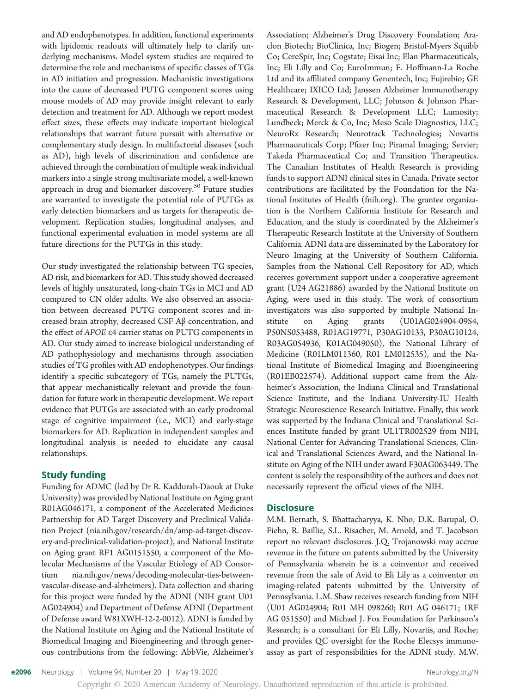and AD endophenotypes. In addition, functional experiments with lipidomic readouts will ultimately help to clarify underlying mechanisms. Model system studies are required to determine the role and mechanisms of specific classes of TGs in AD initiation and progression. Mechanistic investigations into the cause of decreased PUTG component scores using mouse models of AD may provide insight relevant to early detection and treatment for AD. Although we report modest effect sizes, these effects may indicate important biological relationships that warrant future pursuit with alternative or complementary study design. In multifactorial diseases (such as AD), high levels of discrimination and confidence are achieved through the combination of multiple weak individual markers into a single strong multivariate model, a well-known approach in drug and biomarker discovery.<sup>50</sup> Future studies are warranted to investigate the potential role of PUTGs as early detection biomarkers and as targets for therapeutic development. Replication studies, longitudinal analyses, and functional experimental evaluation in model systems are all future directions for the PUTGs in this study.

Our study investigated the relationship between TG species, AD risk, and biomarkers for AD. This study showed decreased levels of highly unsaturated, long-chain TGs in MCI and AD compared to CN older adults. We also observed an association between decreased PUTG component scores and increased brain atrophy, decreased CSF Aβ concentration, and the effect of APOE e4 carrier status on PUTG components in AD. Our study aimed to increase biological understanding of AD pathophysiology and mechanisms through association studies of TG profiles with AD endophenotypes. Our findings identify a specific subcategory of TGs, namely the PUTGs, that appear mechanistically relevant and provide the foundation for future work in therapeutic development. We report evidence that PUTGs are associated with an early prodromal stage of cognitive impairment (i.e., MCI) and early-stage biomarkers for AD. Replication in independent samples and longitudinal analysis is needed to elucidate any causal relationships.

#### Study funding

Funding for ADMC (led by Dr R. Kaddurah-Daouk at Duke University) was provided by National Institute on Aging grant R01AG046171, a component of the Accelerated Medicines Partnership for AD Target Discovery and Preclinical Validation Project [\(nia.nih.gov/research/dn/amp-ad-target-discov](https://www.nia.nih.gov/research/dn/amp-ad-target-discovery-and-preclinical-validation-project)[ery-and-preclinical-validation-project](https://www.nia.nih.gov/research/dn/amp-ad-target-discovery-and-preclinical-validation-project)), and National Institute on Aging grant RF1 AG0151550, a component of the Molecular Mechanisms of the Vascular Etiology of AD Consortium [nia.nih.gov/news/decoding-molecular-ties-between](https://www.nia.nih.gov/news/decoding-molecular-ties-between-vascular-disease-and-alzheimers)[vascular-disease-and-alzheimers\)](https://www.nia.nih.gov/news/decoding-molecular-ties-between-vascular-disease-and-alzheimers). Data collection and sharing for this project were funded by the ADNI (NIH grant U01 AG024904) and Department of Defense ADNI (Department of Defense award W81XWH-12-2-0012). ADNI is funded by the National Institute on Aging and the National Institute of Biomedical Imaging and Bioengineering and through generous contributions from the following: AbbVie, Alzheimer's

Association; Alzheimer's Drug Discovery Foundation; Araclon Biotech; BioClinica, Inc; Biogen; Bristol-Myers Squibb Co; CereSpir, Inc; Cogstate; Eisai Inc; Elan Pharmaceuticals, Inc; Eli Lilly and Co; EuroImmun; F. Hoffmann-La Roche Ltd and its affiliated company Genentech, Inc; Fujirebio; GE Healthcare; IXICO Ltd; Janssen Alzheimer Immunotherapy Research & Development, LLC; Johnson & Johnson Pharmaceutical Research & Development LLC; Lumosity; Lundbeck; Merck & Co, Inc; Meso Scale Diagnostics, LLC; NeuroRx Research; Neurotrack Technologies; Novartis Pharmaceuticals Corp; Pfizer Inc; Piramal Imaging; Servier; Takeda Pharmaceutical Co; and Transition Therapeutics. The Canadian Institutes of Health Research is providing funds to support ADNI clinical sites in Canada. Private sector contributions are facilitated by the Foundation for the National Institutes of Health [\(fnih.org\)](http://www.fnih.org). The grantee organization is the Northern California Institute for Research and Education, and the study is coordinated by the Alzheimer's Therapeutic Research Institute at the University of Southern California. ADNI data are disseminated by the Laboratory for Neuro Imaging at the University of Southern California. Samples from the National Cell Repository for AD, which receives government support under a cooperative agreement grant (U24 AG21886) awarded by the National Institute on Aging, were used in this study. The work of consortium investigators was also supported by multiple National Institute on Aging grants (U01AG024904-09S4, P50NS053488, R01AG19771, P30AG10133, P30AG10124, R03AG054936, K01AG049050), the National Library of Medicine (R01LM011360, R01 LM012535), and the National Institute of Biomedical Imaging and Bioengineering (R01EB022574). Additional support came from the Alzheimer's Association, the Indiana Clinical and Translational Science Institute, and the Indiana University-IU Health Strategic Neuroscience Research Initiative. Finally, this work was supported by the Indiana Clinical and Translational Sciences Institute funded by grant UL1TR002529 from NIH, National Center for Advancing Translational Sciences, Clinical and Translational Sciences Award, and the National Institute on Aging of the NIH under award F30AG063449. The content is solely the responsibility of the authors and does not necessarily represent the official views of the NIH.

#### **Disclosure**

M.M. Bernath, S. Bhattacharyya, K. Nho, D.K. Barupal, O. Fiehn, R. Baillie, S.L. Risacher, M. Arnold, and T. Jacobson report no relevant disclosures. J.Q. Trojanowski may accrue revenue in the future on patents submitted by the University of Pennsylvania wherein he is a coinventor and received revenue from the sale of Avid to Eli Lily as a coinventor on imaging-related patents submitted by the University of Pennsylvania. L.M. Shaw receives research funding from NIH (U01 AG024904; R01 MH 098260; R01 AG 046171; 1RF AG 051550) and Michael J. Fox Foundation for Parkinson's Research; is a consultant for Eli Lilly, Novartis, and Roche; and provides QC oversight for the Roche Elecsys immunoassay as part of responsibilities for the ADNI study. M.W.

e2096 Neurology | Volume 94, Number 20 | May 19, 2020 [Neurology.org/N](http://neurology.org/n) Neurology.org/N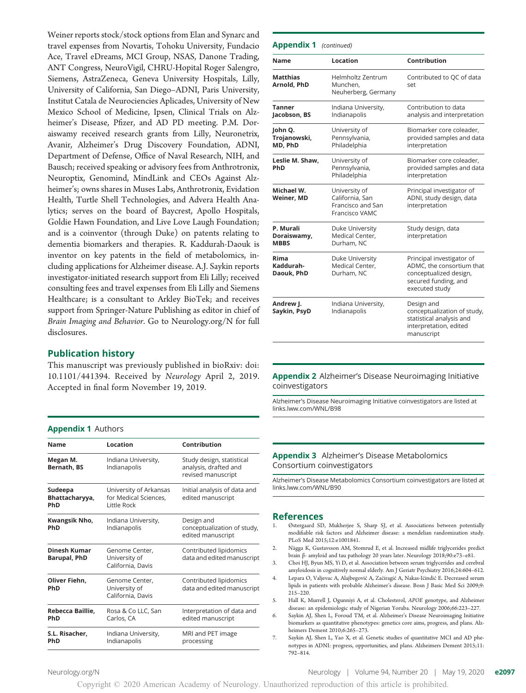Weiner reports stock/stock options from Elan and Synarc and travel expenses from Novartis, Tohoku University, Fundacio Ace, Travel eDreams, MCI Group, NSAS, Danone Trading, ANT Congress, NeuroVigil, CHRU-Hopital Roger Salengro, Siemens, AstraZeneca, Geneva University Hospitals, Lilly, University of California, San Diego–ADNI, Paris University, Institut Catala de Neurociencies Aplicades, University of New Mexico School of Medicine, Ipsen, Clinical Trials on Alzheimer's Disease, Pfizer, and AD PD meeting. P.M. Doraiswamy received research grants from Lilly, Neuronetrix, Avanir, Alzheimer's Drug Discovery Foundation, ADNI, Department of Defense, Office of Naval Research, NIH, and Bausch; received speaking or advisory fees from Anthrotronix, Neuroptix, Genomind, MindLink and CEOs Against Alzheimer's; owns shares in Muses Labs, Anthrotronix, Evidation Health, Turtle Shell Technologies, and Advera Health Analytics; serves on the board of Baycrest, Apollo Hospitals, Goldie Hawn Foundation, and Live Love Laugh Foundation; and is a coinventor (through Duke) on patents relating to dementia biomarkers and therapies. R. Kaddurah-Daouk is inventor on key patents in the field of metabolomics, including applications for Alzheimer disease. A.J. Saykin reports investigator-initiated research support from Eli Lilly; received consulting fees and travel expenses from Eli Lilly and Siemens Healthcare; is a consultant to Arkley BioTek; and receives support from Springer-Nature Publishing as editor in chief of Brain Imaging and Behavior. Go to [Neurology.org/N](https://n.neurology.org/lookup/doi/10.1212/WNL.0000000000009436) for full disclosures.

#### Publication history

This manuscript was previously published in bioRxiv: [doi:](https://dx.doi.org/10.1101/441394) [10.1101/441394](https://dx.doi.org/10.1101/441394). Received by Neurology April 2, 2019. Accepted in final form November 19, 2019.

#### Appendix 1 Authors

| <b>Name</b>                             | Location                                                       | Contribution                                                             |  |
|-----------------------------------------|----------------------------------------------------------------|--------------------------------------------------------------------------|--|
| Megan M.<br>Bernath, BS                 | Indiana University,<br>Indianapolis                            | Study design, statistical<br>analysis, drafted and<br>revised manuscript |  |
| Sudeepa<br>Bhattacharyya,<br><b>PhD</b> | University of Arkansas<br>for Medical Sciences,<br>Little Rock | Initial analysis of data and<br>edited manuscript                        |  |
| Kwangsik Nho,<br>PhD                    | Indiana University,<br>Indianapolis                            | Design and<br>conceptualization of study,<br>edited manuscript           |  |
| Dinesh Kumar<br><b>Barupal, PhD</b>     | Genome Center.<br>University of<br>California, Davis           | Contributed lipidomics<br>data and edited manuscript                     |  |
| Oliver Fiehn,<br><b>PhD</b>             | Genome Center.<br>University of<br>California, Davis           | Contributed lipidomics<br>data and edited manuscript                     |  |
| Rebecca Baillie,<br><b>PhD</b>          | Rosa & Co LLC, San<br>Carlos, CA                               | Interpretation of data and<br>edited manuscript                          |  |
| S.L. Risacher,<br><b>PhD</b>            | Indiana University,<br>Indianapolis                            | MRI and PET image<br>processing                                          |  |

| <b>Appendix 1</b> (continued)           |                                                                         |                                                                                                                            |  |  |  |
|-----------------------------------------|-------------------------------------------------------------------------|----------------------------------------------------------------------------------------------------------------------------|--|--|--|
| Name                                    | Location                                                                | Contribution                                                                                                               |  |  |  |
| Matthias<br>Arnold, PhD                 | Helmholtz Zentrum<br>Munchen.<br>Neuherberg, Germany                    | Contributed to QC of data<br>set                                                                                           |  |  |  |
| Tanner<br>Jacobson, BS                  | Indiana University,<br>Indianapolis                                     | Contribution to data<br>analysis and interpretation                                                                        |  |  |  |
| John Q.<br>Trojanowski,<br>MD, PhD      | University of<br>Pennsylvania,<br>Philadelphia                          | Biomarker core coleader,<br>provided samples and data<br>interpretation                                                    |  |  |  |
| Leslie M. Shaw,<br>PhD                  | University of<br>Pennsylvania,<br>Philadelphia                          | Biomarker core coleader,<br>provided samples and data<br>interpretation                                                    |  |  |  |
| Michael W.<br>Weiner, MD                | University of<br>California, San<br>Francisco and San<br>Francisco VAMC | Principal investigator of<br>ADNI, study design, data<br>interpretation                                                    |  |  |  |
| P. Murali<br>Doraiswamy,<br><b>MBBS</b> | Duke University<br>Medical Center.<br>Durham, NC                        | Study design, data<br>interpretation                                                                                       |  |  |  |
| Rima<br>Kaddurah-<br>Daouk. PhD         | Duke University<br>Medical Center.<br>Durham, NC                        | Principal investigator of<br>ADMC, the consortium that<br>conceptualized design,<br>secured funding, and<br>executed study |  |  |  |
| Andrew J.<br>Saykin, PsyD               | Indiana University,<br>Indianapolis                                     | Design and<br>conceptualization of study,<br>statistical analysis and<br>interpretation, edited<br>manuscript              |  |  |  |

#### Appendix 2 Alzheimer's Disease Neuroimaging Initiative coinvestigators

Alzheimer's Disease Neuroimaging Initiative coinvestigators are listed at [links.lww.com/WNL/B98](http://links.lww.com/WNL/B98)

#### Appendix 3 Alzheimer's Disease Metabolomics Consortium coinvestigators

Alzheimer's Disease Metabolomics Consortium coinvestigators are listed at [links.lww.com/WNL/B90](http://links.lww.com/WNL/B90)

#### References

- 1. Østergaard SD, Mukherjee S, Sharp SJ, et al. Associations between potentially modifiable risk factors and Alzheimer disease: a mendelian randomization study. PLoS Med 2015;12:e1001841.
- Nägga K, Gustavsson AM, Stomrud E, et al. Increased midlife triglycerides predict brain β- amyloid and tau pathology 20 years later. Neurology 2018;90:e73–e81.
- 3. Choi HJ, Byun MS, Yi D, et al. Association between serum triglycerides and cerebral amyloidosis in cognitively normal elderly. Am J Geriatr Psychiatry 2016;24:604–612.
- 4. Lepara O, Valjevac A, Alajbegović A, Zaćiragić A, Nakas-Ićindić E. Decreased serum lipids in patients with probable Alzheimer's disease. Bosn J Basic Med Sci 2009;9: 215–220.
- 5. Hall K, Murrell J, Ogunniyi A, et al. Cholesterol, APOE genotype, and Alzheimer disease: an epidemiologic study of Nigerian Yoruba. Neurology 2006;66:223–227.
- 6. Saykin AJ, Shen L, Foroud TM, et al. Alzheimer's Disease Neuroimaging Initiative biomarkers as quantitative phenotypes: genetics core aims, progress, and plans. Alzheimers Dement 2010;6:265–273.
- 7. Saykin AJ, Shen L, Yao X, et al. Genetic studies of quantitative MCI and AD phenotypes in ADNI: progress, opportunities, and plans. Alzheimers Dement 2015;11: 792–814.